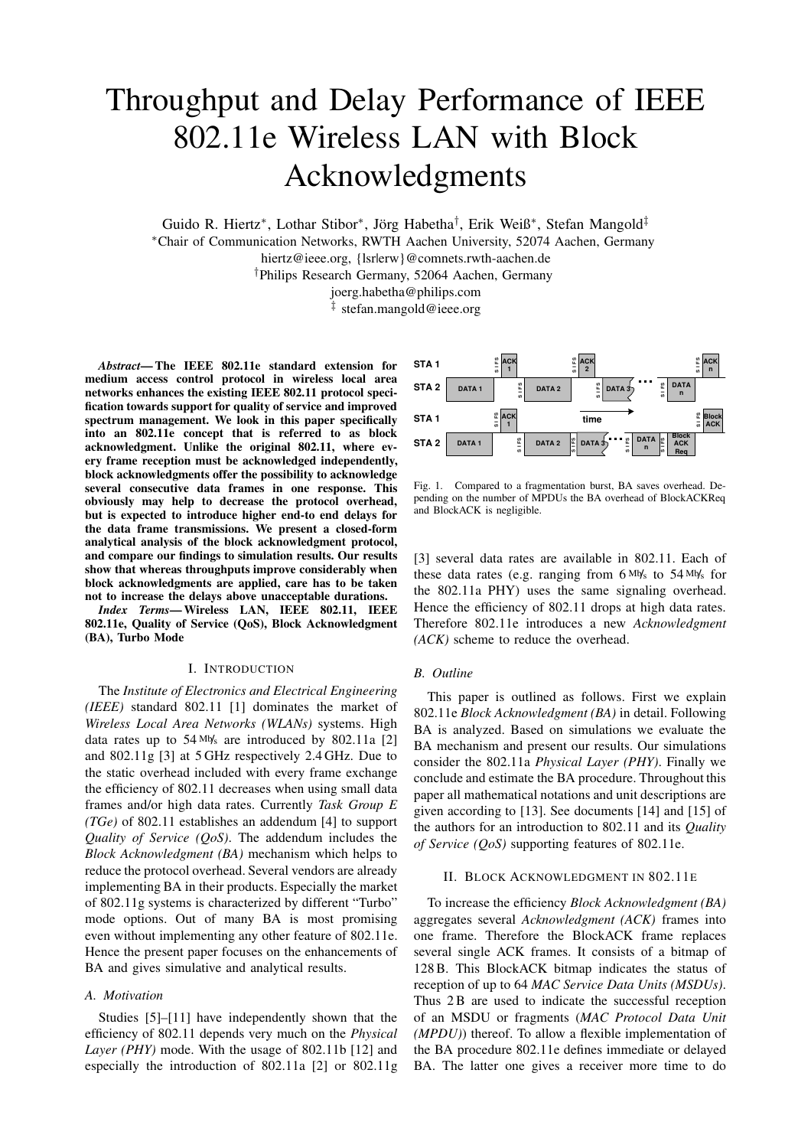# Throughput and Delay Performance of IEEE 802.11e Wireless LAN with Block Acknowledgments

Guido R. Hiertz<sup>∗</sup> , Lothar Stibor<sup>∗</sup> , Jörg Habetha† , Erik Weiß<sup>∗</sup> , Stefan Mangold‡

<sup>∗</sup>Chair of Communication Networks, RWTH Aachen University, 52074 Aachen, Germany

hiertz@ieee.org, {lsrlerw}@comnets.rwth-aachen.de

†Philips Research Germany, 52064 Aachen, Germany

joerg.habetha@philips.com

‡ stefan.mangold@ieee.org

*Abstract***— The IEEE 802.11e standard extension for medium access control protocol in wireless local area networks enhances the existing IEEE 802.11 protocol specification towards support for quality of service and improved spectrum management. We look in this paper specifically into an 802.11e concept that is referred to as block acknowledgment. Unlike the original 802.11, where every frame reception must be acknowledged independently, block acknowledgments offer the possibility to acknowledge several consecutive data frames in one response. This obviously may help to decrease the protocol overhead, but is expected to introduce higher end-to end delays for the data frame transmissions. We present a closed-form analytical analysis of the block acknowledgment protocol, and compare our findings to simulation results. Our results show that whereas throughputs improve considerably when block acknowledgments are applied, care has to be taken not to increase the delays above unacceptable durations.**

*Index Terms***— Wireless LAN, IEEE 802.11, IEEE 802.11e, Quality of Service (QoS), Block Acknowledgment (BA), Turbo Mode**

## I. INTRODUCTION

The *Institute of Electronics and Electrical Engineering (IEEE)* standard 802.11 [1] dominates the market of *Wireless Local Area Networks (WLANs)* systems. High data rates up to  $54 \text{ Mys}$  are introduced by 802.11a [2] and 802.11g [3] at 5 GHz respectively 2.4 GHz. Due to the static overhead included with every frame exchange the efficiency of 802.11 decreases when using small data frames and/or high data rates. Currently *Task Group E (TGe)* of 802.11 establishes an addendum [4] to support *Quality of Service (QoS)*. The addendum includes the *Block Acknowledgment (BA)* mechanism which helps to reduce the protocol overhead. Several vendors are already implementing BA in their products. Especially the market of 802.11g systems is characterized by different "Turbo" mode options. Out of many BA is most promising even without implementing any other feature of 802.11e. Hence the present paper focuses on the enhancements of BA and gives simulative and analytical results.

## *A. Motivation*

Studies [5]–[11] have independently shown that the efficiency of 802.11 depends very much on the *Physical Layer (PHY)* mode. With the usage of 802.11b [12] and especially the introduction of 802.11a [2] or 802.11g



<span id="page-0-0"></span>Fig. 1. Compared to a fragmentation burst, BA saves overhead. Depending on the number of MPDUs the BA overhead of BlockACKReq and BlockACK is negligible.

[3] several data rates are available in 802.11. Each of these data rates (e.g. ranging from  $6 M/s$  to  $54 M/s$  for the 802.11a PHY) uses the same signaling overhead. Hence the efficiency of 802.11 drops at high data rates. Therefore 802.11e introduces a new *Acknowledgment (ACK)* scheme to reduce the overhead.

#### *B. Outline*

This paper is outlined as follows. First we explain 802.11e *Block Acknowledgment (BA)* in detail. Following BA is analyzed. Based on simulations we evaluate the BA mechanism and present our results. Our simulations consider the 802.11a *Physical Layer (PHY)*. Finally we conclude and estimate the BA procedure. Throughout this paper all mathematical notations and unit descriptions are given according to [13]. See documents [14] and [15] of the authors for an introduction to 802.11 and its *Quality of Service (QoS)* supporting features of 802.11e.

## II. BLOCK ACKNOWLEDGMENT IN 802.11E

To increase the efficiency *Block Acknowledgment (BA)* aggregates several *Acknowledgment (ACK)* frames into one frame. Therefore the BlockACK frame replaces several single ACK frames. It consists of a bitmap of 128B. This BlockACK bitmap indicates the status of reception of up to 64 *MAC Service Data Units (MSDUs)*. Thus 2B are used to indicate the successful reception of an MSDU or fragments (*MAC Protocol Data Unit (MPDU)*) thereof. To allow a flexible implementation of the BA procedure 802.11e defines immediate or delayed BA. The latter one gives a receiver more time to do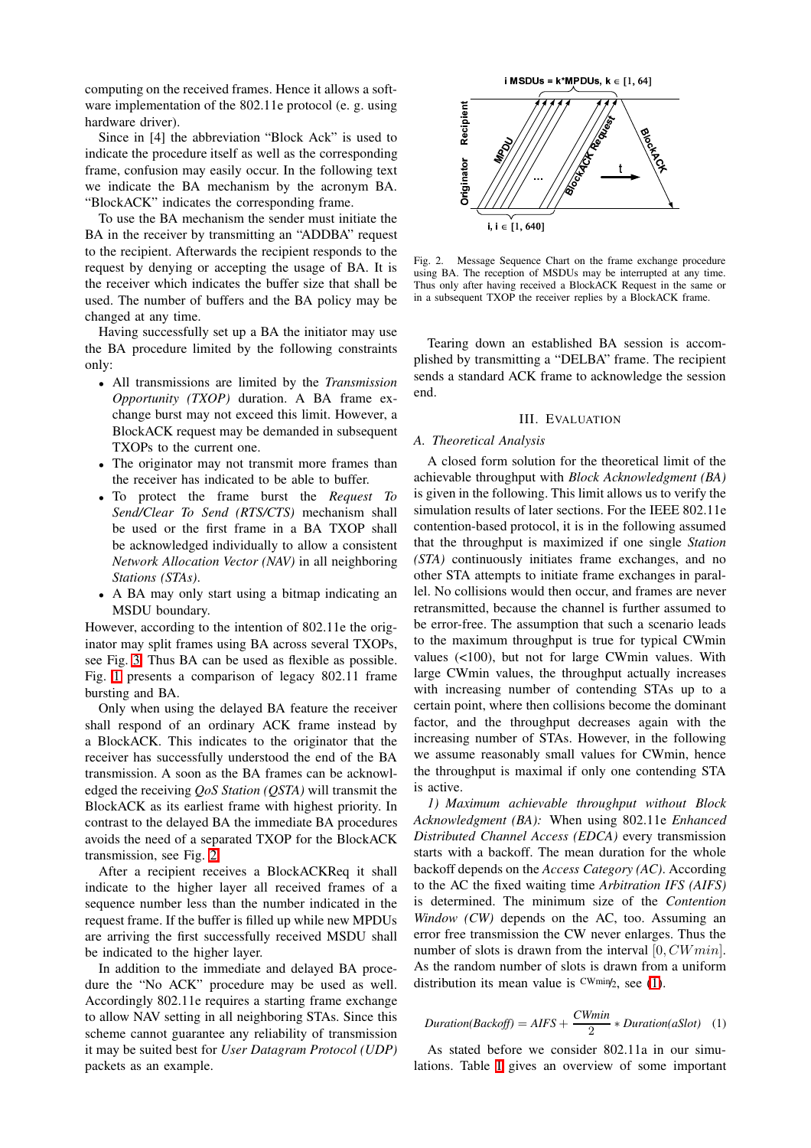computing on the received frames. Hence it allows a software implementation of the 802.11e protocol (e. g. using hardware driver).

Since in [4] the abbreviation "Block Ack" is used to indicate the procedure itself as well as the corresponding frame, confusion may easily occur. In the following text we indicate the BA mechanism by the acronym BA. "BlockACK" indicates the corresponding frame.

To use the BA mechanism the sender must initiate the BA in the receiver by transmitting an "ADDBA" request to the recipient. Afterwards the recipient responds to the request by denying or accepting the usage of BA. It is the receiver which indicates the buffer size that shall be used. The number of buffers and the BA policy may be changed at any time.

Having successfully set up a BA the initiator may use the BA procedure limited by the following constraints only:

- All transmissions are limited by the *Transmission Opportunity (TXOP)* duration. A BA frame exchange burst may not exceed this limit. However, a BlockACK request may be demanded in subsequent TXOPs to the current one.
- The originator may not transmit more frames than the receiver has indicated to be able to buffer.
- To protect the frame burst the *Request To Send/Clear To Send (RTS/CTS)* mechanism shall be used or the first frame in a BA TXOP shall be acknowledged individually to allow a consistent *Network Allocation Vector (NAV)* in all neighboring *Stations (STAs)*.
- A BA may only start using a bitmap indicating an MSDU boundary.

However, according to the intention of 802.11e the originator may split frames using BA across several TXOPs, see Fig. [3.](#page-2-0) Thus BA can be used as flexible as possible. Fig. [1](#page-0-0) presents a comparison of legacy 802.11 frame bursting and BA.

Only when using the delayed BA feature the receiver shall respond of an ordinary ACK frame instead by a BlockACK. This indicates to the originator that the receiver has successfully understood the end of the BA transmission. A soon as the BA frames can be acknowledged the receiving *QoS Station (QSTA)* will transmit the BlockACK as its earliest frame with highest priority. In contrast to the delayed BA the immediate BA procedures avoids the need of a separated TXOP for the BlockACK transmission, see Fig. [2.](#page-1-0)

After a recipient receives a BlockACKReq it shall indicate to the higher layer all received frames of a sequence number less than the number indicated in the request frame. If the buffer is filled up while new MPDUs are arriving the first successfully received MSDU shall be indicated to the higher layer.

In addition to the immediate and delayed BA procedure the "No ACK" procedure may be used as well. Accordingly 802.11e requires a starting frame exchange to allow NAV setting in all neighboring STAs. Since this scheme cannot guarantee any reliability of transmission it may be suited best for *User Datagram Protocol (UDP)* packets as an example.



<span id="page-1-0"></span>Fig. 2. Message Sequence Chart on the frame exchange procedure using BA. The reception of MSDUs may be interrupted at any time. Thus only after having received a BlockACK Request in the same or in a subsequent TXOP the receiver replies by a BlockACK frame.

Tearing down an established BA session is accomplished by transmitting a "DELBA" frame. The recipient sends a standard ACK frame to acknowledge the session end.

#### III. EVALUATION

# *A. Theoretical Analysis*

A closed form solution for the theoretical limit of the achievable throughput with *Block Acknowledgment (BA)* is given in the following. This limit allows us to verify the simulation results of later sections. For the IEEE 802.11e contention-based protocol, it is in the following assumed that the throughput is maximized if one single *Station (STA)* continuously initiates frame exchanges, and no other STA attempts to initiate frame exchanges in parallel. No collisions would then occur, and frames are never retransmitted, because the channel is further assumed to be error-free. The assumption that such a scenario leads to the maximum throughput is true for typical CWmin values (<100), but not for large CWmin values. With large CWmin values, the throughput actually increases with increasing number of contending STAs up to a certain point, where then collisions become the dominant factor, and the throughput decreases again with the increasing number of STAs. However, in the following we assume reasonably small values for CWmin, hence the throughput is maximal if only one contending STA is active.

*1) Maximum achievable throughput without Block Acknowledgment (BA):* When using 802.11e *Enhanced Distributed Channel Access (EDCA)* every transmission starts with a backoff. The mean duration for the whole backoff depends on the *Access Category (AC)*. According to the AC the fixed waiting time *Arbitration IFS (AIFS)* is determined. The minimum size of the *Contention Window (CW)* depends on the AC, too. Assuming an error free transmission the CW never enlarges. Thus the number of slots is drawn from the interval  $[0, CWmin]$ . As the random number of slots is drawn from a uniform distribution its mean value is  $CWmin/2$ , see [\(1\)](#page-1-1).

$$
Duration(Backoff) = AIFS + \frac{CWmin}{2} * duration(aSlot) \quad (1)
$$

<span id="page-1-1"></span>As stated before we consider 802.11a in our simulations. Table [I](#page-2-1) gives an overview of some important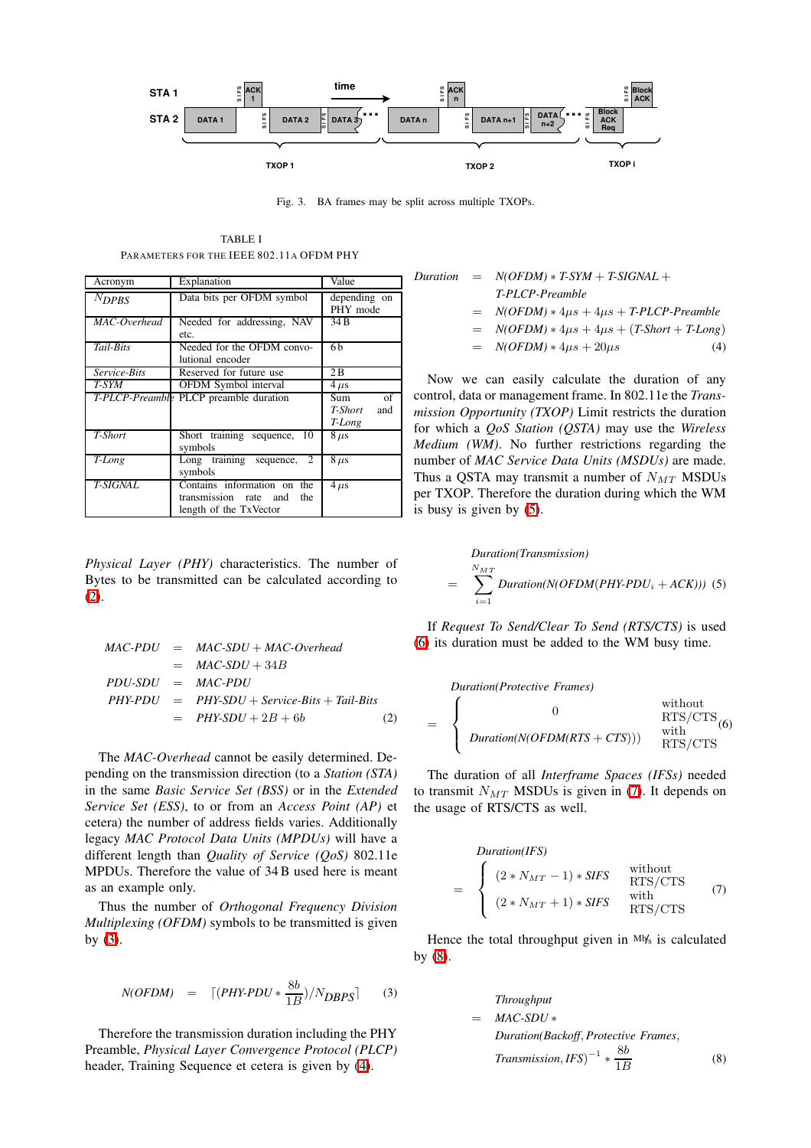

<span id="page-2-4"></span><span id="page-2-0"></span>Fig. 3. BA frames may be split across multiple TXOPs.

TABLE I PARAMETERS FOR THE IEEE 802.11A OFDM PHY

<span id="page-2-1"></span>

| Acronym         | Explanation                                                                              | Value                                 |
|-----------------|------------------------------------------------------------------------------------------|---------------------------------------|
| $N_{DPBS}$      | Data bits per OFDM symbol                                                                | depending on<br>PHY mode              |
| MAC-Overhead    | Needed for addressing, NAV<br>etc.                                                       | 34 B                                  |
| Tail-Bits       | Needed for the OFDM convo-<br>lutional encoder                                           | 6b                                    |
| Service-Bits    | Reserved for future use                                                                  | 2B                                    |
| T-SYM           | OFDM Symbol interval                                                                     | $4 \mu s$                             |
|                 | T-PLCP-Preamble PLCP preamble duration                                                   | of<br>Sum<br>T-Short<br>and<br>T-Long |
| T-Short         | Short training sequence, 10<br>symbols                                                   | $8 \mu s$                             |
| T-Long          | Long training sequence, 2<br>symbols                                                     | $8 \mu s$                             |
| <b>T-SIGNAL</b> | Contains information on<br>the<br>transmission rate and<br>the<br>length of the TxVector | $4 \mu s$                             |

*Physical Layer (PHY)* characteristics. The number of Bytes to be transmitted can be calculated according to [\(2\)](#page-2-2).

<span id="page-2-2"></span>
$$
MAC-PDU = MAC-SDU + MAC-Overhead
$$
  
= MAC-SDU + 34B  
PDU-SDU = MAC-PDU  
PHY-PDU = PHYSDU + Service-Bits + Tail-Bits  
= PHYS-DU + 2B + 6b (2)

The *MAC-Overhead* cannot be easily determined. Depending on the transmission direction (to a *Station (STA)* in the same *Basic Service Set (BSS)* or in the *Extended Service Set (ESS)*, to or from an *Access Point (AP)* et cetera) the number of address fields varies. Additionally legacy *MAC Protocol Data Units (MPDUs)* will have a different length than *Quality of Service (QoS)* 802.11e MPDUs. Therefore the value of 34B used here is meant as an example only.

Thus the number of *Orthogonal Frequency Division Multiplexing (OFDM)* symbols to be transmitted is given by [\(3\)](#page-2-3).

$$
N(OFDM) = \left[ (PHY-PDU * \frac{8b}{1B})/N_{DBPS} \right] \tag{3}
$$

<span id="page-2-3"></span>Therefore the transmission duration including the PHY Preamble, *Physical Layer Convergence Protocol (PLCP)* header, Training Sequence et cetera is given by [\(4\)](#page-2-4).

Duration = 
$$
N(OFDM) * T\text{-}SYM + T\text{-}SIGNAL + T\text{-}PLCP\text{-}Preamble
$$

\n=  $N(OFDM) * 4\mu s + 4\mu s + T\text{-}PLCP\text{-}Preamble$ 

\n=  $N(OFDM) * 4\mu s + 4\mu s + (T\text{-}Short + T\text{-}Long)$ 

\n=  $N(OFDM) * 4\mu s + 20\mu s$ 

\n(4)

Now we can easily calculate the duration of any control, data or management frame. In 802.11e the *Transmission Opportunity (TXOP)* Limit restricts the duration for which a *QoS Station (QSTA)* may use the *Wireless Medium (WM)*. No further restrictions regarding the number of *MAC Service Data Units (MSDUs)* are made. Thus a QSTA may transmit a number of  $N_{MT}$  MSDUs per TXOP. Therefore the duration during which the WM is busy is given by [\(5\)](#page-2-5).

$$
Duration(Transmission)
$$
  
= 
$$
\sum_{i=1}^{N_{MT}} duration(N(OFDM(PHY-PDU_{i} + ACK))) (5)
$$

<span id="page-2-5"></span>If *Request To Send/Clear To Send (RTS/CTS)* is used [\(6\)](#page-2-6) its duration must be added to the WM busy time.

*Duration(Protective Frames)*

<span id="page-2-6"></span>
$$
= \begin{cases} 0 & \text{without} \\ \text{RTS/CTS}_{(6)} \\ \text{Duration}(N(OFDM(RTS + CTS))) & \text{with} \\ \text{RTS/CTS} \end{cases}
$$

<span id="page-2-7"></span>The duration of all *Interframe Spaces (IFSs)* needed to transmit  $N_{MT}$  MSDUs is given in [\(7\)](#page-2-7). It depends on the usage of RTS/CTS as well.

$$
Duration(IFS)
$$
\n
$$
= \begin{cases}\n(2*N_{MT}-1) * SIFS & \text{without} \\
(2*N_{MT}+1) * SIFS & \text{with} \\
RTS/CTS & \text{with} \\
RTS/CTS & \text{RTS}/CTS\n\end{cases}
$$
\n(7)

<span id="page-2-8"></span>Hence the total throughput given in Mb/s is calculated by [\(8\)](#page-2-8).

Throughput

\n
$$
= MAC-SDU *
$$
\nDuration(Backoff, Protective Frames,

\n
$$
Transmission, IFS)^{-1} * \frac{8b}{1B}
$$
\n(8)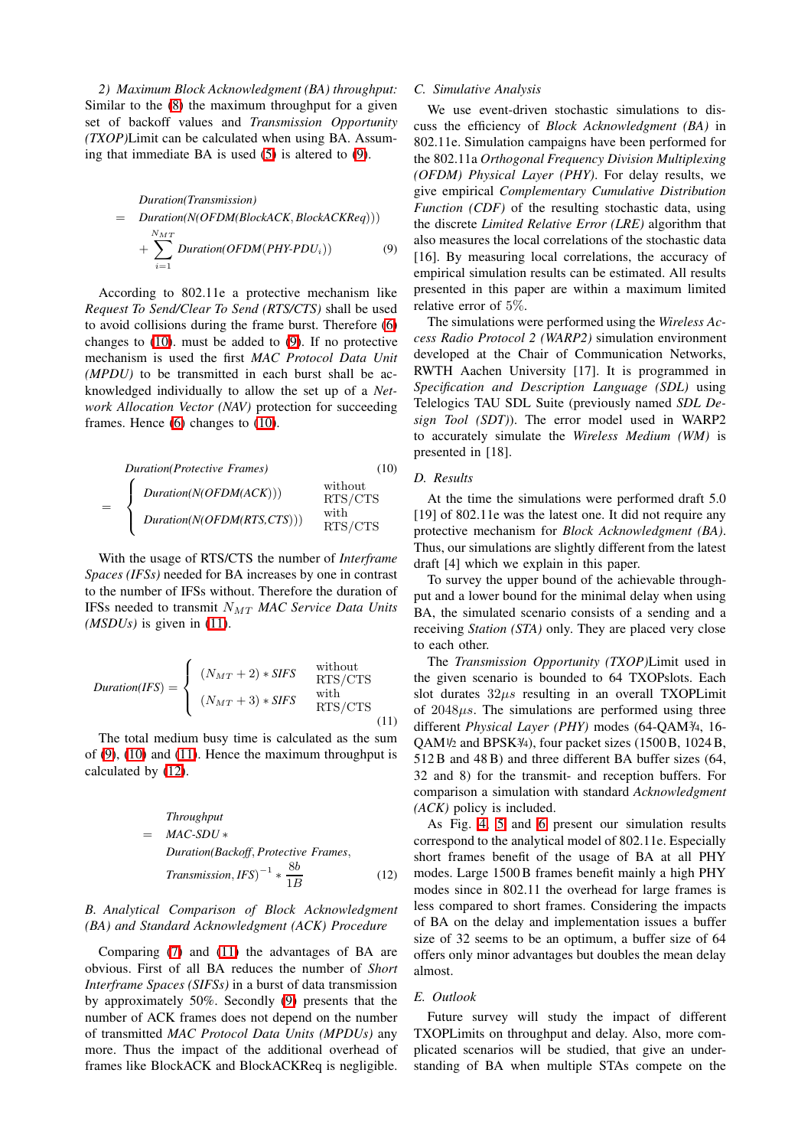*2) Maximum Block Acknowledgment (BA) throughput:* Similar to the [\(8\)](#page-2-8) the maximum throughput for a given set of backoff values and *Transmission Opportunity (TXOP)*Limit can be calculated when using BA. Assuming that immediate BA is used [\(5\)](#page-2-5) is altered to [\(9\)](#page-3-0).

<span id="page-3-0"></span>Duration(Transmission)

\n
$$
= Duration(N(OFDM(BlockACK, BlockACKReg)))
$$
\n
$$
+ \sum_{i=1}^{N_{MT}} Duration(OFDM(PHY-PDU_i))
$$
\n(9)

According to 802.11e a protective mechanism like *Request To Send/Clear To Send (RTS/CTS)* shall be used to avoid collisions during the frame burst. Therefore [\(6\)](#page-2-6) changes to [\(10\)](#page-3-1). must be added to [\(9\)](#page-3-0). If no protective mechanism is used the first *MAC Protocol Data Unit (MPDU)* to be transmitted in each burst shall be acknowledged individually to allow the set up of a *Network Allocation Vector (NAV)* protection for succeeding frames. Hence [\(6\)](#page-2-6) changes to [\(10\)](#page-3-1).

<span id="page-3-1"></span>

| $Duration(Protective \text{ Frames})$ | (10)                     |           |
|---------------------------------------|--------------------------|-----------|
| $=$                                   | $Duration(N(OFDM(ACK)))$ | $RTS/CTS$ |
| $Duration(N(OFDM(RTS,CTS)))$          | $NTS/CTS$                |           |

With the usage of RTS/CTS the number of *Interframe Spaces (IFSs)* needed for BA increases by one in contrast to the number of IFSs without. Therefore the duration of IFSs needed to transmit NMT *MAC Service Data Units (MSDUs)* is given in [\(11\)](#page-3-2).

<span id="page-3-2"></span>
$$
Duration(IFS) = \begin{cases} (N_{MT} + 2) * SIFS & \begin{array}{c} \text{without} \\ \text{RTS/CTS} \end{array} \\ (N_{MT} + 3) * SIFS & \begin{array}{c} \text{with} \\ \text{RTS/CTS} \end{array} \end{cases} \tag{11}
$$

<span id="page-3-3"></span>The total medium busy time is calculated as the sum of [\(9\)](#page-3-0), [\(10\)](#page-3-1) and [\(11\)](#page-3-2). Hence the maximum throughput is calculated by [\(12\)](#page-3-3).

Throughput

\n
$$
= MAC-SDU *
$$
\nDuration(Backoff, Protective Frames,

\n
$$
Transmission, IFS)^{-1} * \frac{8b}{1B}
$$
\n(12)

# *B. Analytical Comparison of Block Acknowledgment (BA) and Standard Acknowledgment (ACK) Procedure*

Comparing [\(7\)](#page-2-7) and [\(11\)](#page-3-2) the advantages of BA are obvious. First of all BA reduces the number of *Short Interframe Spaces (SIFSs)* in a burst of data transmission by approximately 50%. Secondly [\(9\)](#page-3-0) presents that the number of ACK frames does not depend on the number of transmitted *MAC Protocol Data Units (MPDUs)* any more. Thus the impact of the additional overhead of frames like BlockACK and BlockACKReq is negligible.

## *C. Simulative Analysis*

We use event-driven stochastic simulations to discuss the efficiency of *Block Acknowledgment (BA)* in 802.11e. Simulation campaigns have been performed for the 802.11a *Orthogonal Frequency Division Multiplexing (OFDM) Physical Layer (PHY)*. For delay results, we give empirical *Complementary Cumulative Distribution Function (CDF)* of the resulting stochastic data, using the discrete *Limited Relative Error (LRE)* algorithm that also measures the local correlations of the stochastic data [16]. By measuring local correlations, the accuracy of empirical simulation results can be estimated. All results presented in this paper are within a maximum limited relative error of 5%.

The simulations were performed using the *Wireless Access Radio Protocol 2 (WARP2)* simulation environment developed at the Chair of Communication Networks, RWTH Aachen University [17]. It is programmed in *Specification and Description Language (SDL)* using Telelogics TAU SDL Suite (previously named *SDL Design Tool (SDT)*). The error model used in WARP2 to accurately simulate the *Wireless Medium (WM)* is presented in [18].

# *D. Results*

At the time the simulations were performed draft 5.0 [19] of 802.11e was the latest one. It did not require any protective mechanism for *Block Acknowledgment (BA)*. Thus, our simulations are slightly different from the latest draft [4] which we explain in this paper.

To survey the upper bound of the achievable throughput and a lower bound for the minimal delay when using BA, the simulated scenario consists of a sending and a receiving *Station (STA)* only. They are placed very close to each other.

The *Transmission Opportunity (TXOP)*Limit used in the given scenario is bounded to 64 TXOPslots. Each slot durates  $32\mu s$  resulting in an overall TXOPLimit of  $2048\mu s$ . The simulations are performed using three different *Physical Layer (PHY)* modes (64-QAM3/4, 16- QAM1/2 and BPSK3/4), four packet sizes (1500B, 1024B, 512B and 48B) and three different BA buffer sizes (64, 32 and 8) for the transmit- and reception buffers. For comparison a simulation with standard *Acknowledgment (ACK)* policy is included.

As Fig. [4,](#page-5-0) [5](#page-5-1) and [6](#page-5-2) present our simulation results correspond to the analytical model of 802.11e. Especially short frames benefit of the usage of BA at all PHY modes. Large 1500B frames benefit mainly a high PHY modes since in 802.11 the overhead for large frames is less compared to short frames. Considering the impacts of BA on the delay and implementation issues a buffer size of 32 seems to be an optimum, a buffer size of 64 offers only minor advantages but doubles the mean delay almost.

## *E. Outlook*

Future survey will study the impact of different TXOPLimits on throughput and delay. Also, more complicated scenarios will be studied, that give an understanding of BA when multiple STAs compete on the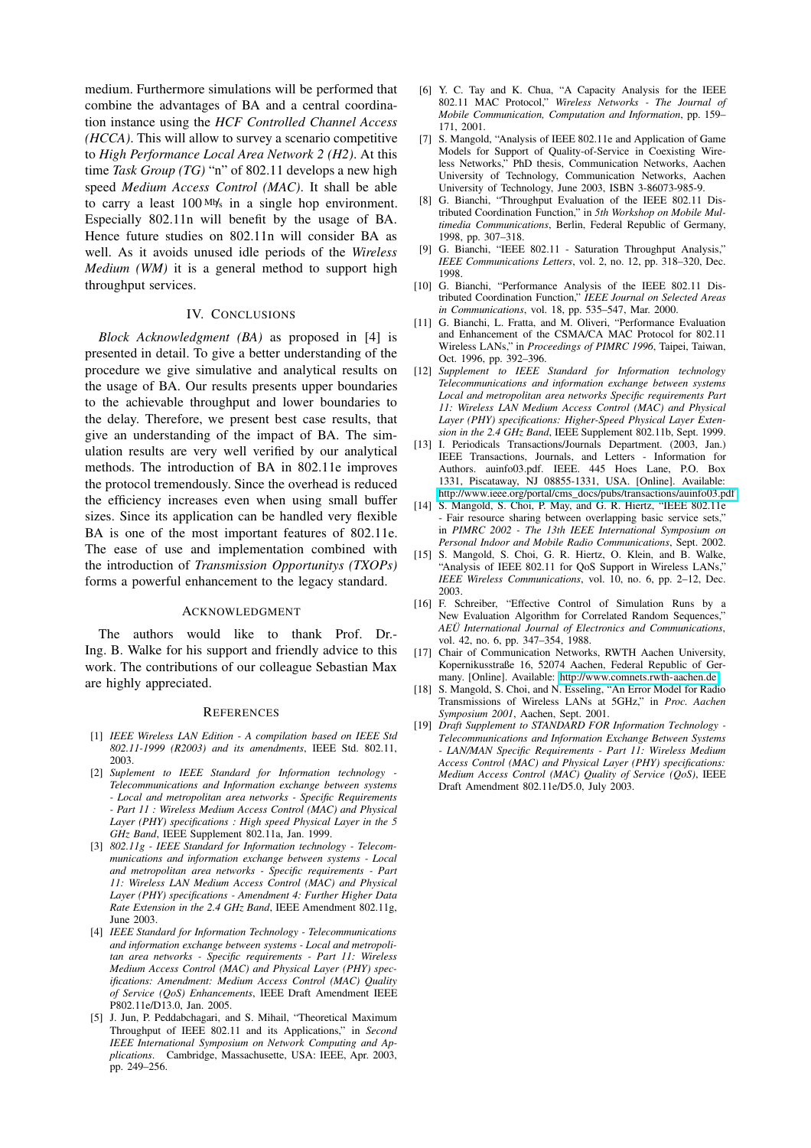medium. Furthermore simulations will be performed that combine the advantages of BA and a central coordination instance using the *HCF Controlled Channel Access (HCCA)*. This will allow to survey a scenario competitive to *High Performance Local Area Network 2 (H2)*. At this time *Task Group (TG)* "n" of 802.11 develops a new high speed *Medium Access Control (MAC)*. It shall be able to carry a least  $100 \text{ M/s}$  in a single hop environment. Especially 802.11n will benefit by the usage of BA. Hence future studies on 802.11n will consider BA as well. As it avoids unused idle periods of the *Wireless Medium (WM)* it is a general method to support high throughput services.

# IV. CONCLUSIONS

*Block Acknowledgment (BA)* as proposed in [4] is presented in detail. To give a better understanding of the procedure we give simulative and analytical results on the usage of BA. Our results presents upper boundaries to the achievable throughput and lower boundaries to the delay. Therefore, we present best case results, that give an understanding of the impact of BA. The simulation results are very well verified by our analytical methods. The introduction of BA in 802.11e improves the protocol tremendously. Since the overhead is reduced the efficiency increases even when using small buffer sizes. Since its application can be handled very flexible BA is one of the most important features of 802.11e. The ease of use and implementation combined with the introduction of *Transmission Opportunitys (TXOPs)* forms a powerful enhancement to the legacy standard.

#### ACKNOWLEDGMENT

The authors would like to thank Prof. Dr.- Ing. B. Walke for his support and friendly advice to this work. The contributions of our colleague Sebastian Max are highly appreciated.

#### **REFERENCES**

- [1] *IEEE Wireless LAN Edition - A compilation based on IEEE Std 802.11-1999 (R2003) and its amendments*, IEEE Std. 802.11, 2003.
- [2] *Suplement to IEEE Standard for Information technology - Telecommunications and Information exchange between systems - Local and metropolitan area networks - Specific Requirements - Part 11 : Wireless Medium Access Control (MAC) and Physical Layer (PHY) specifications : High speed Physical Layer in the 5 GHz Band*, IEEE Supplement 802.11a, Jan. 1999.
- [3] *802.11g - IEEE Standard for Information technology - Telecommunications and information exchange between systems - Local and metropolitan area networks - Specific requirements - Part 11: Wireless LAN Medium Access Control (MAC) and Physical Layer (PHY) specifications - Amendment 4: Further Higher Data Rate Extension in the 2.4 GHz Band*, IEEE Amendment 802.11g, June 2003.
- [4] *IEEE Standard for Information Technology - Telecommunications and information exchange between systems - Local and metropolitan area networks - Specific requirements - Part 11: Wireless Medium Access Control (MAC) and Physical Layer (PHY) specifications: Amendment: Medium Access Control (MAC) Quality of Service (QoS) Enhancements*, IEEE Draft Amendment IEEE P802.11e/D13.0, Jan. 2005.
- [5] J. Jun, P. Peddabchagari, and S. Mihail, "Theoretical Maximum Throughput of IEEE 802.11 and its Applications," in *Second IEEE International Symposium on Network Computing and Applications*. Cambridge, Massachusette, USA: IEEE, Apr. 2003, pp. 249–256.
- [6] Y. C. Tay and K. Chua, "A Capacity Analysis for the IEEE 802.11 MAC Protocol," *Wireless Networks - The Journal of Mobile Communication, Computation and Information*, pp. 159– 171, 2001.
- [7] S. Mangold, "Analysis of IEEE 802.11e and Application of Game Models for Support of Quality-of-Service in Coexisting Wireless Networks," PhD thesis, Communication Networks, Aachen University of Technology, Communication Networks, Aachen University of Technology, June 2003, ISBN 3-86073-985-9.
- [8] G. Bianchi, "Throughput Evaluation of the IEEE 802.11 Distributed Coordination Function," in *5th Workshop on Mobile Multimedia Communications*, Berlin, Federal Republic of Germany, 1998, pp. 307–318.
- [9] G. Bianchi, "IEEE 802.11 Saturation Throughput Analysis," *IEEE Communications Letters*, vol. 2, no. 12, pp. 318–320, Dec. 1998.
- [10] G. Bianchi, "Performance Analysis of the IEEE 802.11 Distributed Coordination Function," *IEEE Journal on Selected Areas in Communications*, vol. 18, pp. 535–547, Mar. 2000.
- [11] G. Bianchi, L. Fratta, and M. Oliveri, "Performance Evaluation and Enhancement of the CSMA/CA MAC Protocol for 802.11 Wireless LANs," in *Proceedings of PIMRC 1996*, Taipei, Taiwan, Oct. 1996, pp. 392–396.
- [12] *Supplement to IEEE Standard for Information technology Telecommunications and information exchange between systems Local and metropolitan area networks Specific requirements Part 11: Wireless LAN Medium Access Control (MAC) and Physical Layer (PHY) specifications: Higher-Speed Physical Layer Extension in the 2.4 GHz Band*, IEEE Supplement 802.11b, Sept. 1999.
- [13] I. Periodicals Transactions/Journals Department. (2003, Jan.) IEEE Transactions, Journals, and Letters - Information for Authors. auinfo03.pdf. IEEE. 445 Hoes Lane, P.O. Box 1331, Piscataway, NJ 08855-1331, USA. [Online]. Available: [http://www.ieee.org/portal/cms\\_docs/pubs/transactions/auinfo03.pdf](http://www.ieee.org/portal/cms_docs/pubs/transactions/auinfo03.pdf)
- [14] S. Mangold, S. Choi, P. May, and G. R. Hiertz, "IEEE 802.11e - Fair resource sharing between overlapping basic service sets," in *PIMRC 2002 - The 13th IEEE International Symposium on Personal Indoor and Mobile Radio Communications*, Sept. 2002.
- [15] S. Mangold, S. Choi, G. R. Hiertz, O. Klein, and B. Walke, "Analysis of IEEE 802.11 for OoS Support in Wireless LANs," *IEEE Wireless Communications*, vol. 10, no. 6, pp. 2–12, Dec. 2003.
- [16] F. Schreiber, "Effective Control of Simulation Runs by a New Evaluation Algorithm for Correlated Random Sequences," *AEÜ International Journal of Electronics and Communications*, vol. 42, no. 6, pp. 347–354, 1988.
- [17] Chair of Communication Networks, RWTH Aachen University, Kopernikusstraße 16, 52074 Aachen, Federal Republic of Germany. [Online]. Available: <http://www.comnets.rwth-aachen.de>
- [18] S. Mangold, S. Choi, and N. Esseling, "An Error Model for Radio Transmissions of Wireless LANs at 5GHz," in *Proc. Aachen Symposium 2001*, Aachen, Sept. 2001.
- [19] *Draft Supplement to STANDARD FOR Information Technology - Telecommunications and Information Exchange Between Systems - LAN/MAN Specific Requirements - Part 11: Wireless Medium Access Control (MAC) and Physical Layer (PHY) specifications: Medium Access Control (MAC) Quality of Service (QoS)*, IEEE Draft Amendment 802.11e/D5.0, July 2003.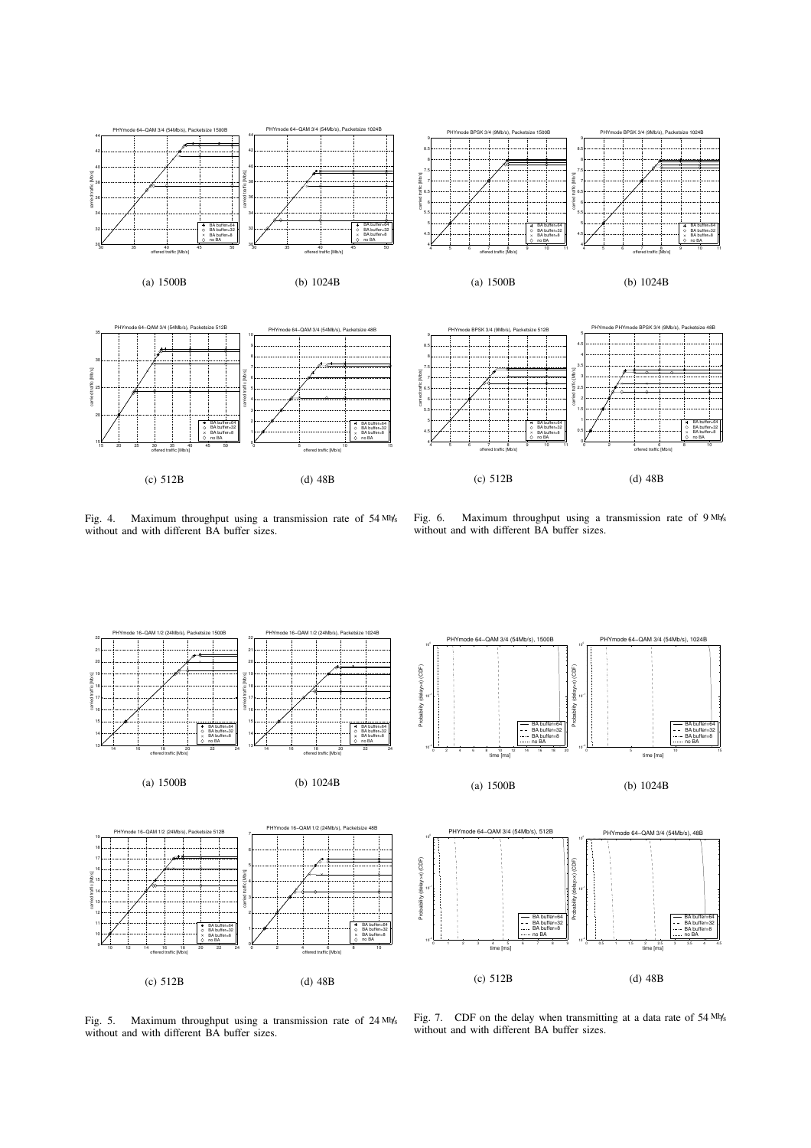

<span id="page-5-0"></span>Fig. 4. Maximum throughput using a transmission rate of 54 Mb/s without and with different BA buffer sizes.

<span id="page-5-2"></span>Fig. 6. Maximum throughput using a transmission rate of 9 Mb/s without and with different BA buffer sizes.



<span id="page-5-1"></span>Fig. 5. Maximum throughput using a transmission rate of 24 Mb/s without and with different BA buffer sizes.

Fig. 7. CDF on the delay when transmitting at a data rate of 54 Mb/s without and with different BA buffer sizes.